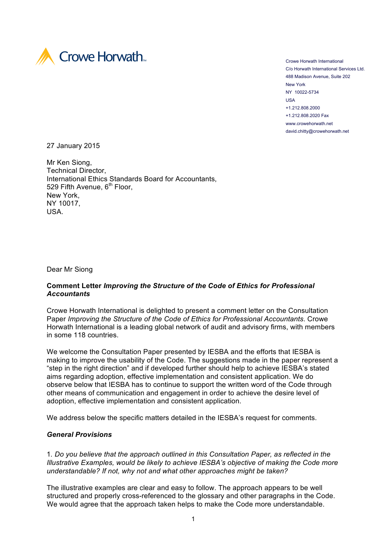

Crowe Horwath International C/o Horwath International Services Ltd. 488 Madison Avenue, Suite 202 New York NY 10022-5734 USA +1.212.808.2000 +1.212.808.2020 Fax www.crowehorwath.net david.chitty@crowehorwath.net

27 January 2015

Mr Ken Siong, Technical Director, International Ethics Standards Board for Accountants, 529 Fifth Avenue, 6<sup>th</sup> Floor, New York, NY 10017, USA.

Dear Mr Siong

## **Comment Letter** *Improving the Structure of the Code of Ethics for Professional Accountants*

Crowe Horwath International is delighted to present a comment letter on the Consultation Paper *Improving the Structure of the Code of Ethics for Professional Accountants*. Crowe Horwath International is a leading global network of audit and advisory firms, with members in some 118 countries.

We welcome the Consultation Paper presented by IESBA and the efforts that IESBA is making to improve the usability of the Code. The suggestions made in the paper represent a "step in the right direction" and if developed further should help to achieve IESBA's stated aims regarding adoption, effective implementation and consistent application. We do observe below that IESBA has to continue to support the written word of the Code through other means of communication and engagement in order to achieve the desire level of adoption, effective implementation and consistent application.

We address below the specific matters detailed in the IESBA's request for comments.

# *General Provisions*

1*. Do you believe that the approach outlined in this Consultation Paper, as reflected in the Illustrative Examples, would be likely to achieve IESBA's objective of making the Code more understandable? If not, why not and what other approaches might be taken?* 

The illustrative examples are clear and easy to follow. The approach appears to be well structured and properly cross-referenced to the glossary and other paragraphs in the Code. We would agree that the approach taken helps to make the Code more understandable.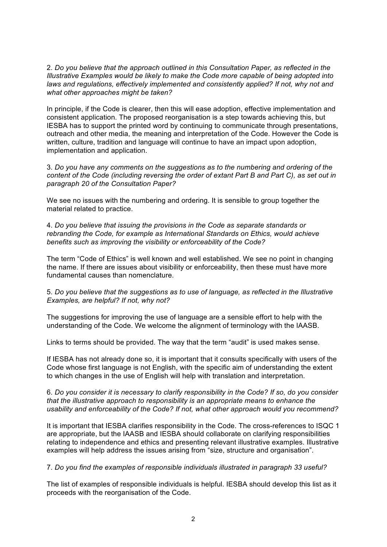2. *Do you believe that the approach outlined in this Consultation Paper, as reflected in the Illustrative Examples would be likely to make the Code more capable of being adopted into*  laws and regulations, effectively implemented and consistently applied? If not, why not and *what other approaches might be taken?* 

In principle, if the Code is clearer, then this will ease adoption, effective implementation and consistent application. The proposed reorganisation is a step towards achieving this, but IESBA has to support the printed word by continuing to communicate through presentations, outreach and other media, the meaning and interpretation of the Code. However the Code is written, culture, tradition and language will continue to have an impact upon adoption, implementation and application.

3. *Do you have any comments on the suggestions as to the numbering and ordering of the content of the Code (including reversing the order of extant Part B and Part C), as set out in paragraph 20 of the Consultation Paper?* 

We see no issues with the numbering and ordering. It is sensible to group together the material related to practice.

4. *Do you believe that issuing the provisions in the Code as separate standards or rebranding the Code, for example as International Standards on Ethics, would achieve benefits such as improving the visibility or enforceability of the Code?* 

The term "Code of Ethics" is well known and well established. We see no point in changing the name. If there are issues about visibility or enforceability, then these must have more fundamental causes than nomenclature.

## 5. *Do you believe that the suggestions as to use of language, as reflected in the Illustrative Examples, are helpful? If not, why not?*

The suggestions for improving the use of language are a sensible effort to help with the understanding of the Code. We welcome the alignment of terminology with the IAASB.

Links to terms should be provided. The way that the term "audit" is used makes sense.

If IESBA has not already done so, it is important that it consults specifically with users of the Code whose first language is not English, with the specific aim of understanding the extent to which changes in the use of English will help with translation and interpretation.

#### 6. *Do you consider it is necessary to clarify responsibility in the Code? If so, do you consider that the illustrative approach to responsibility is an appropriate means to enhance the usability and enforceability of the Code? If not, what other approach would you recommend?*

It is important that IESBA clarifies responsibility in the Code. The cross-references to ISQC 1 are appropriate, but the IAASB and IESBA should collaborate on clarifying responsibilities relating to independence and ethics and presenting relevant illustrative examples. Illustrative examples will help address the issues arising from "size, structure and organisation".

#### 7. *Do you find the examples of responsible individuals illustrated in paragraph 33 useful?*

The list of examples of responsible individuals is helpful. IESBA should develop this list as it proceeds with the reorganisation of the Code.